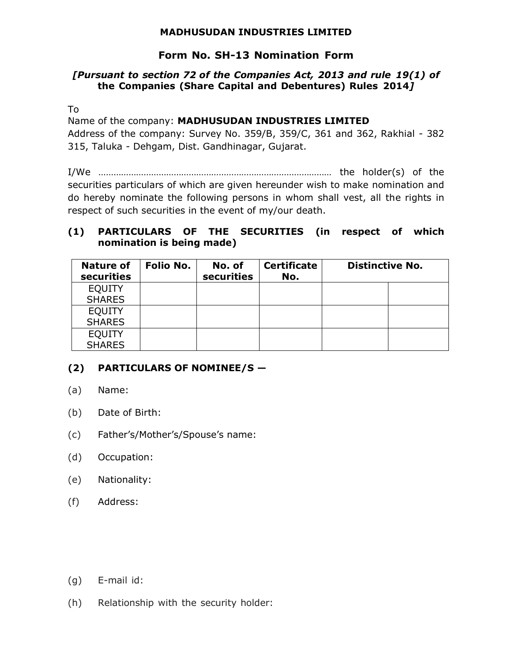### **MADHUSUDAN INDUSTRIES LIMITED**

## **Form No. SH-13 Nomination Form**

#### *[Pursuant to section 72 of the Companies Act, 2013 and rule 19(1) of* **the Companies (Share Capital and Debentures) Rules 2014***]*

To

Name of the company: **MADHUSUDAN INDUSTRIES LIMITED**

Address of the company: Survey No. 359/B, 359/C, 361 and 362, Rakhial - 382 315, Taluka - Dehgam, Dist. Gandhinagar, Gujarat.

I/We ………………………………………………………………………………… the holder(s) of the securities particulars of which are given hereunder wish to make nomination and do hereby nominate the following persons in whom shall vest, all the rights in respect of such securities in the event of my/our death.

#### **(1) PARTICULARS OF THE SECURITIES (in respect of which nomination is being made)**

| <b>Nature of</b><br>securities | Folio No. | No. of<br>securities | <b>Certificate</b><br>No. | <b>Distinctive No.</b> |  |
|--------------------------------|-----------|----------------------|---------------------------|------------------------|--|
| <b>EQUITY</b>                  |           |                      |                           |                        |  |
| <b>SHARES</b>                  |           |                      |                           |                        |  |
| <b>EQUITY</b>                  |           |                      |                           |                        |  |
| <b>SHARES</b>                  |           |                      |                           |                        |  |
| <b>EQUITY</b>                  |           |                      |                           |                        |  |
| <b>SHARES</b>                  |           |                      |                           |                        |  |

# **(2) PARTICULARS OF NOMINEE/S —**

- (a) Name:
- (b) Date of Birth:
- (c) Father's/Mother's/Spouse's name:
- (d) Occupation:
- (e) Nationality:
- (f) Address:

- (g) E-mail id:
- (h) Relationship with the security holder: